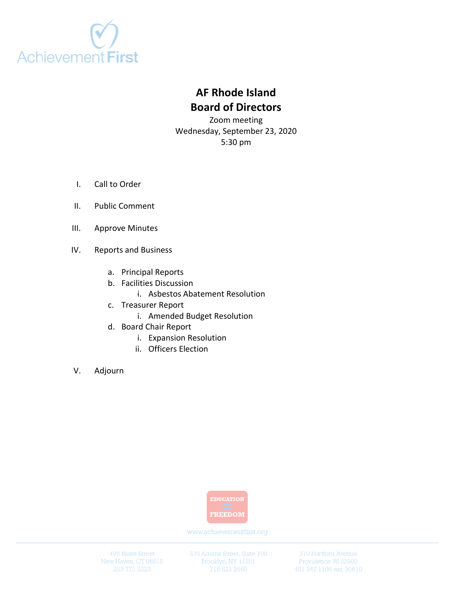

# **AF Rhode Island Board of Directors**

Zoom meeting Wednesday, September 23, 2020 5:30 pm

- I. Call to Order
- II. Public Comment
- III. Approve Minutes
- IV. Reports and Business
	- a. Principal Reports
	- b. Facilities Discussion
		- i. Asbestos Abatement Resolution
	- c. Treasurer Report
		- i. Amended Budget Resolution
	- d. Board Chair Report
		- i. Expansion Resolution
		- ii. Officers Election
- V. Adjourn



www.achievementfirst.org

495 Blake Street New Haven, CT 06515 335 Adams Street, Suite 700 Brooklyn, NY 11201

370 Hartford Avenue Providence, RI 02909 401 347 1106 ext. 30610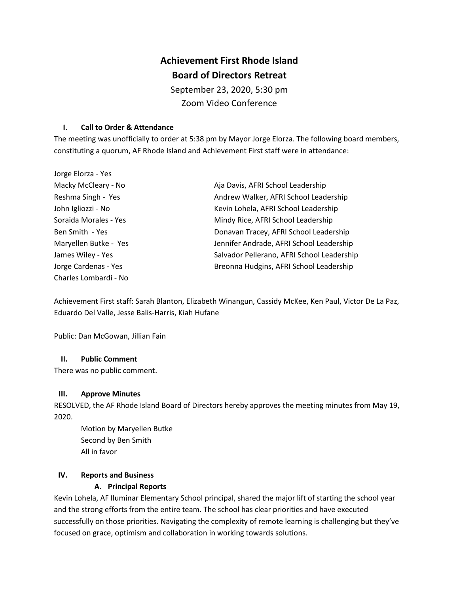# **Achievement First Rhode Island Board of Directors Retreat**

September 23, 2020, 5:30 pm Zoom Video Conference

## **I. Call to Order & Attendance**

The meeting was unofficially to order at 5:38 pm by Mayor Jorge Elorza. The following board members, constituting a quorum, AF Rhode Island and Achievement First staff were in attendance:

| Jorge Elorza - Yes    |                                            |
|-----------------------|--------------------------------------------|
| Macky McCleary - No   | Aja Davis, AFRI School Leadership          |
| Reshma Singh - Yes    | Andrew Walker, AFRI School Leadership      |
| John Igliozzi - No    | Kevin Lohela, AFRI School Leadership       |
| Soraida Morales - Yes | Mindy Rice, AFRI School Leadership         |
| Ben Smith - Yes       | Donavan Tracey, AFRI School Leadership     |
| Maryellen Butke - Yes | Jennifer Andrade, AFRI School Leadership   |
| James Wiley - Yes     | Salvador Pellerano, AFRI School Leadership |
| Jorge Cardenas - Yes  | Breonna Hudgins, AFRI School Leadership    |
| Charles Lombardi - No |                                            |

Achievement First staff: Sarah Blanton, Elizabeth Winangun, Cassidy McKee, Ken Paul, Victor De La Paz, Eduardo Del Valle, Jesse Balis-Harris, Kiah Hufane

Public: Dan McGowan, Jillian Fain

# **II. Public Comment**

There was no public comment.

## **III. Approve Minutes**

RESOLVED, the AF Rhode Island Board of Directors hereby approves the meeting minutes from May 19, 2020.

Motion by Maryellen Butke Second by Ben Smith All in favor

## **IV. Reports and Business**

# **A. Principal Reports**

Kevin Lohela, AF Iluminar Elementary School principal, shared the major lift of starting the school year and the strong efforts from the entire team. The school has clear priorities and have executed successfully on those priorities. Navigating the complexity of remote learning is challenging but they've focused on grace, optimism and collaboration in working towards solutions.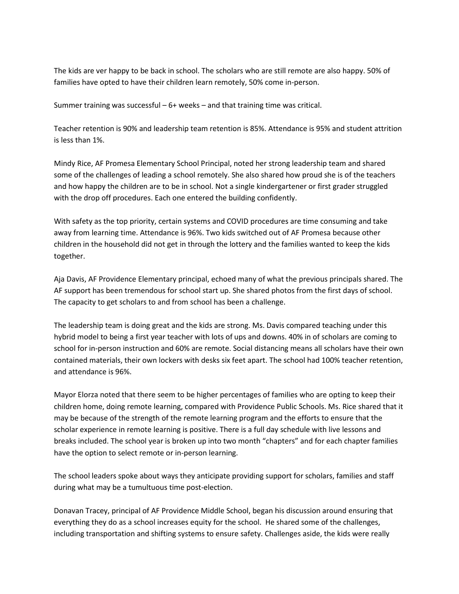The kids are ver happy to be back in school. The scholars who are still remote are also happy. 50% of families have opted to have their children learn remotely, 50% come in-person.

Summer training was successful  $-6+$  weeks  $-$  and that training time was critical.

Teacher retention is 90% and leadership team retention is 85%. Attendance is 95% and student attrition is less than 1%.

Mindy Rice, AF Promesa Elementary School Principal, noted her strong leadership team and shared some of the challenges of leading a school remotely. She also shared how proud she is of the teachers and how happy the children are to be in school. Not a single kindergartener or first grader struggled with the drop off procedures. Each one entered the building confidently.

With safety as the top priority, certain systems and COVID procedures are time consuming and take away from learning time. Attendance is 96%. Two kids switched out of AF Promesa because other children in the household did not get in through the lottery and the families wanted to keep the kids together.

Aja Davis, AF Providence Elementary principal, echoed many of what the previous principals shared. The AF support has been tremendous for school start up. She shared photos from the first days of school. The capacity to get scholars to and from school has been a challenge.

The leadership team is doing great and the kids are strong. Ms. Davis compared teaching under this hybrid model to being a first year teacher with lots of ups and downs. 40% in of scholars are coming to school for in-person instruction and 60% are remote. Social distancing means all scholars have their own contained materials, their own lockers with desks six feet apart. The school had 100% teacher retention, and attendance is 96%.

Mayor Elorza noted that there seem to be higher percentages of families who are opting to keep their children home, doing remote learning, compared with Providence Public Schools. Ms. Rice shared that it may be because of the strength of the remote learning program and the efforts to ensure that the scholar experience in remote learning is positive. There is a full day schedule with live lessons and breaks included. The school year is broken up into two month "chapters" and for each chapter families have the option to select remote or in-person learning.

The school leaders spoke about ways they anticipate providing support for scholars, families and staff during what may be a tumultuous time post-election.

Donavan Tracey, principal of AF Providence Middle School, began his discussion around ensuring that everything they do as a school increases equity for the school. He shared some of the challenges, including transportation and shifting systems to ensure safety. Challenges aside, the kids were really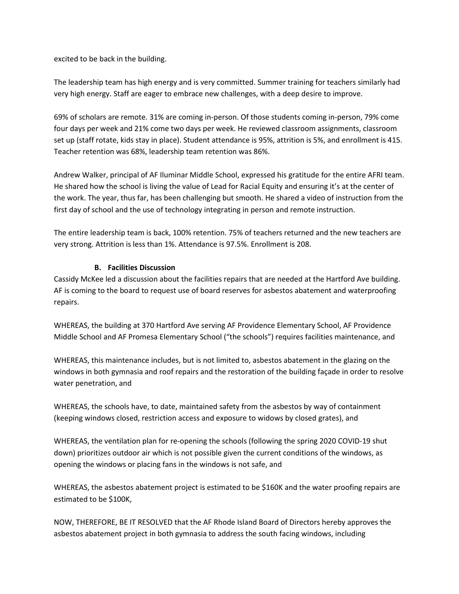excited to be back in the building.

The leadership team has high energy and is very committed. Summer training for teachers similarly had very high energy. Staff are eager to embrace new challenges, with a deep desire to improve.

69% of scholars are remote. 31% are coming in-person. Of those students coming in-person, 79% come four days per week and 21% come two days per week. He reviewed classroom assignments, classroom set up (staff rotate, kids stay in place). Student attendance is 95%, attrition is 5%, and enrollment is 415. Teacher retention was 68%, leadership team retention was 86%.

Andrew Walker, principal of AF Iluminar Middle School, expressed his gratitude for the entire AFRI team. He shared how the school is living the value of Lead for Racial Equity and ensuring it's at the center of the work. The year, thus far, has been challenging but smooth. He shared a video of instruction from the first day of school and the use of technology integrating in person and remote instruction.

The entire leadership team is back, 100% retention. 75% of teachers returned and the new teachers are very strong. Attrition is less than 1%. Attendance is 97.5%. Enrollment is 208.

# **B. Facilities Discussion**

Cassidy McKee led a discussion about the facilities repairs that are needed at the Hartford Ave building. AF is coming to the board to request use of board reserves for asbestos abatement and waterproofing repairs.

WHEREAS, the building at 370 Hartford Ave serving AF Providence Elementary School, AF Providence Middle School and AF Promesa Elementary School ("the schools") requires facilities maintenance, and

WHEREAS, this maintenance includes, but is not limited to, asbestos abatement in the glazing on the windows in both gymnasia and roof repairs and the restoration of the building façade in order to resolve water penetration, and

WHEREAS, the schools have, to date, maintained safety from the asbestos by way of containment (keeping windows closed, restriction access and exposure to widows by closed grates), and

WHEREAS, the ventilation plan for re-opening the schools (following the spring 2020 COVID-19 shut down) prioritizes outdoor air which is not possible given the current conditions of the windows, as opening the windows or placing fans in the windows is not safe, and

WHEREAS, the asbestos abatement project is estimated to be \$160K and the water proofing repairs are estimated to be \$100K,

NOW, THEREFORE, BE IT RESOLVED that the AF Rhode Island Board of Directors hereby approves the asbestos abatement project in both gymnasia to address the south facing windows, including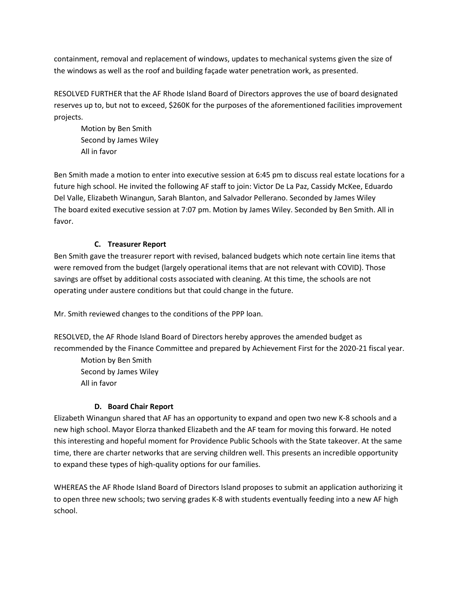containment, removal and replacement of windows, updates to mechanical systems given the size of the windows as well as the roof and building façade water penetration work, as presented.

RESOLVED FURTHER that the AF Rhode Island Board of Directors approves the use of board designated reserves up to, but not to exceed, \$260K for the purposes of the aforementioned facilities improvement projects.

Motion by Ben Smith Second by James Wiley All in favor

Ben Smith made a motion to enter into executive session at 6:45 pm to discuss real estate locations for a future high school. He invited the following AF staff to join: Victor De La Paz, Cassidy McKee, Eduardo Del Valle, Elizabeth Winangun, Sarah Blanton, and Salvador Pellerano. Seconded by James Wiley The board exited executive session at 7:07 pm. Motion by James Wiley. Seconded by Ben Smith. All in favor.

# **C. Treasurer Report**

Ben Smith gave the treasurer report with revised, balanced budgets which note certain line items that were removed from the budget (largely operational items that are not relevant with COVID). Those savings are offset by additional costs associated with cleaning. At this time, the schools are not operating under austere conditions but that could change in the future.

Mr. Smith reviewed changes to the conditions of the PPP loan.

RESOLVED, the AF Rhode Island Board of Directors hereby approves the amended budget as recommended by the Finance Committee and prepared by Achievement First for the 2020-21 fiscal year.

Motion by Ben Smith Second by James Wiley All in favor

# **D. Board Chair Report**

Elizabeth Winangun shared that AF has an opportunity to expand and open two new K-8 schools and a new high school. Mayor Elorza thanked Elizabeth and the AF team for moving this forward. He noted this interesting and hopeful moment for Providence Public Schools with the State takeover. At the same time, there are charter networks that are serving children well. This presents an incredible opportunity to expand these types of high-quality options for our families.

WHEREAS the AF Rhode Island Board of Directors Island proposes to submit an application authorizing it to open three new schools; two serving grades K-8 with students eventually feeding into a new AF high school.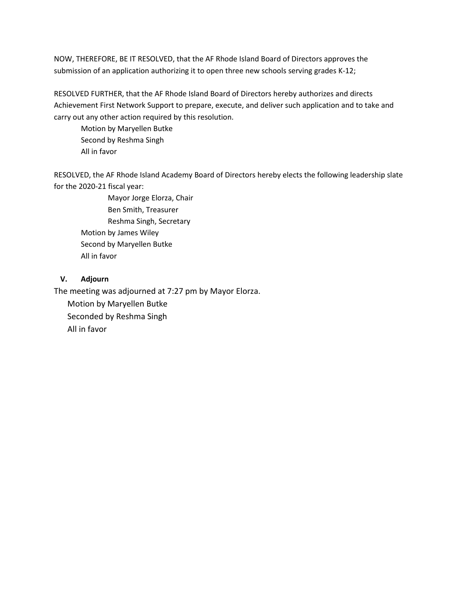NOW, THEREFORE, BE IT RESOLVED, that the AF Rhode Island Board of Directors approves the submission of an application authorizing it to open three new schools serving grades K-12;

RESOLVED FURTHER, that the AF Rhode Island Board of Directors hereby authorizes and directs Achievement First Network Support to prepare, execute, and deliver such application and to take and carry out any other action required by this resolution.

Motion by Maryellen Butke Second by Reshma Singh All in favor

RESOLVED, the AF Rhode Island Academy Board of Directors hereby elects the following leadership slate for the 2020-21 fiscal year:

Mayor Jorge Elorza, Chair Ben Smith, Treasurer Reshma Singh, Secretary Motion by James Wiley Second by Maryellen Butke All in favor

# **V. Adjourn**

The meeting was adjourned at 7:27 pm by Mayor Elorza. Motion by Maryellen Butke Seconded by Reshma Singh

All in favor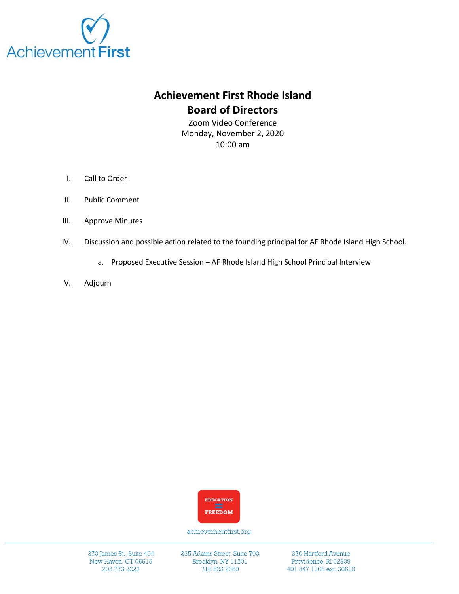

# **Achievement First Rhode Island Board of Directors**

Zoom Video Conference Monday, November 2, 2020 10:00 am

- I. Call to Order
- II. Public Comment
- III. Approve Minutes
- IV. Discussion and possible action related to the founding principal for AF Rhode Island High School.
	- a. Proposed Executive Session AF Rhode Island High School Principal Interview
- V. Adjourn



achievementfirst.org

370 James St., Suite 404 New Haven, CT 06515 203 773 3223

335 Adams Street, Suite 700 Brooklyn, NY 11201 718 623 2660

370 Hartford Avenue Providence, RI 02909 401 347 1106 ext. 30610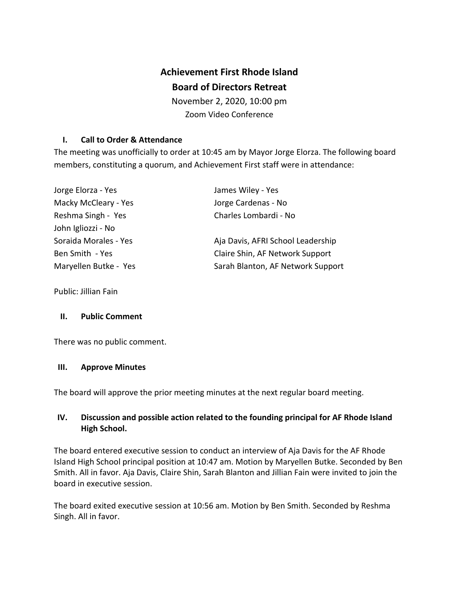# **Achievement First Rhode Island**

# **Board of Directors Retreat**

November 2, 2020, 10:00 pm Zoom Video Conference

# **I. Call to Order & Attendance**

The meeting was unofficially to order at 10:45 am by Mayor Jorge Elorza. The following board members, constituting a quorum, and Achievement First staff were in attendance:

| Jorge Elorza - Yes    | James Wiley - Yes                 |
|-----------------------|-----------------------------------|
| Macky McCleary - Yes  | Jorge Cardenas - No               |
| Reshma Singh - Yes    | Charles Lombardi - No             |
| John Igliozzi - No    |                                   |
| Soraida Morales - Yes | Aja Davis, AFRI School Leadership |
| Ben Smith - Yes       | Claire Shin, AF Network Support   |
| Maryellen Butke - Yes | Sarah Blanton, AF Network Support |

Public: Jillian Fain

# **II. Public Comment**

There was no public comment.

# **III. Approve Minutes**

The board will approve the prior meeting minutes at the next regular board meeting.

# **IV. Discussion and possible action related to the founding principal for AF Rhode Island High School.**

The board entered executive session to conduct an interview of Aja Davis for the AF Rhode Island High School principal position at 10:47 am. Motion by Maryellen Butke. Seconded by Ben Smith. All in favor. Aja Davis, Claire Shin, Sarah Blanton and Jillian Fain were invited to join the board in executive session.

The board exited executive session at 10:56 am. Motion by Ben Smith. Seconded by Reshma Singh. All in favor.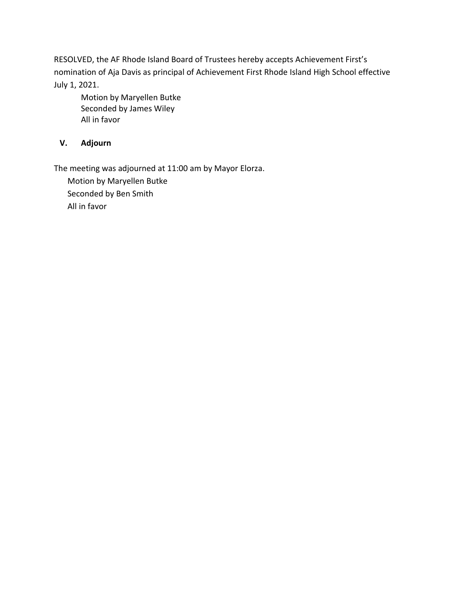RESOLVED, the AF Rhode Island Board of Trustees hereby accepts Achievement First's nomination of Aja Davis as principal of Achievement First Rhode Island High School effective July 1, 2021.

Motion by Maryellen Butke Seconded by James Wiley All in favor

# **V. Adjourn**

The meeting was adjourned at 11:00 am by Mayor Elorza.

Motion by Maryellen Butke Seconded by Ben Smith All in favor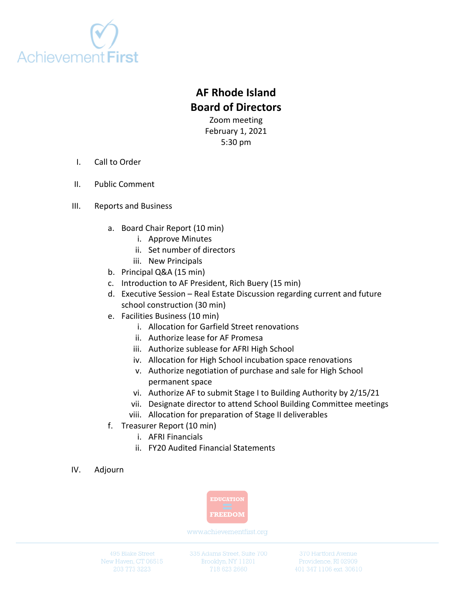

# **AF Rhode Island Board of Directors**

Zoom meeting February 1, 2021 5:30 pm

- I. Call to Order
- II. Public Comment
- III. Reports and Business
	- a. Board Chair Report (10 min)
		- i. Approve Minutes
		- ii. Set number of directors
		- iii. New Principals
	- b. Principal Q&A (15 min)
	- c. Introduction to AF President, Rich Buery (15 min)
	- d. Executive Session Real Estate Discussion regarding current and future school construction (30 min)
	- e. Facilities Business (10 min)
		- i. Allocation for Garfield Street renovations
		- ii. Authorize lease for AF Promesa
		- iii. Authorize sublease for AFRI High School
		- iv. Allocation for High School incubation space renovations
		- v. Authorize negotiation of purchase and sale for High School permanent space
		- vi. Authorize AF to submit Stage I to Building Authority by 2/15/21
		- vii. Designate director to attend School Building Committee meetings
		- viii. Allocation for preparation of Stage II deliverables
	- f. Treasurer Report (10 min)
		- i. AFRI Financials
		- ii. FY20 Audited Financial Statements
- IV. Adjourn



www.achievementfirst.org

495 Blake Street New Haven, CT 06515 335 Adams Street, Suite 700 Brooklyn, NY 11201

370 Hartford Avenue Providence, RI 02909 401 347 1106 ext. 30610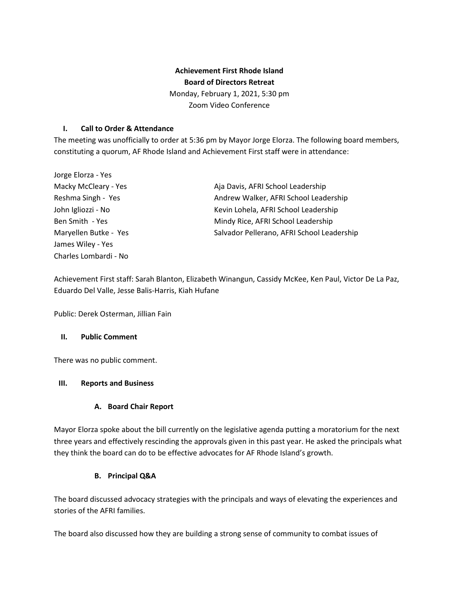# **Achievement First Rhode Island Board of Directors Retreat**

Monday, February 1, 2021, 5:30 pm Zoom Video Conference

## **I. Call to Order & Attendance**

The meeting was unofficially to order at 5:36 pm by Mayor Jorge Elorza. The following board members, constituting a quorum, AF Rhode Island and Achievement First staff were in attendance:

| Jorge Elorza - Yes    |                                            |
|-----------------------|--------------------------------------------|
| Macky McCleary - Yes  | Aja Davis, AFRI School Leadership          |
| Reshma Singh - Yes    | Andrew Walker, AFRI School Leadership      |
| John Igliozzi - No    | Kevin Lohela, AFRI School Leadership       |
| Ben Smith - Yes       | Mindy Rice, AFRI School Leadership         |
| Maryellen Butke - Yes | Salvador Pellerano, AFRI School Leadership |
| James Wiley - Yes     |                                            |
| Charles Lombardi - No |                                            |

Achievement First staff: Sarah Blanton, Elizabeth Winangun, Cassidy McKee, Ken Paul, Victor De La Paz, Eduardo Del Valle, Jesse Balis-Harris, Kiah Hufane

Public: Derek Osterman, Jillian Fain

## **II. Public Comment**

There was no public comment.

## **III. Reports and Business**

## **A. Board Chair Report**

Mayor Elorza spoke about the bill currently on the legislative agenda putting a moratorium for the next three years and effectively rescinding the approvals given in this past year. He asked the principals what they think the board can do to be effective advocates for AF Rhode Island's growth.

## **B. Principal Q&A**

The board discussed advocacy strategies with the principals and ways of elevating the experiences and stories of the AFRI families.

The board also discussed how they are building a strong sense of community to combat issues of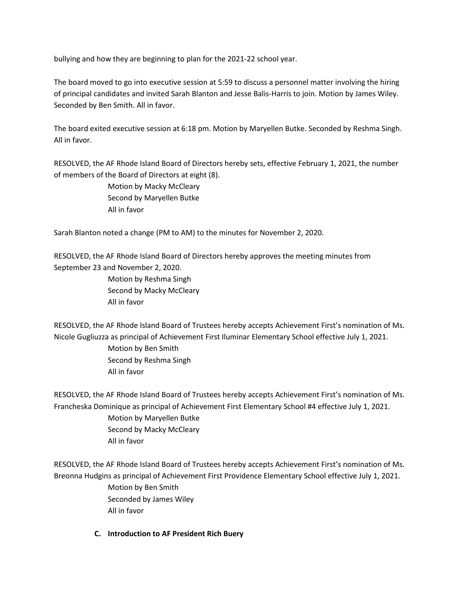bullying and how they are beginning to plan for the 2021-22 school year.

The board moved to go into executive session at 5:59 to discuss a personnel matter involving the hiring of principal candidates and invited Sarah Blanton and Jesse Balis-Harris to join. Motion by James Wiley. Seconded by Ben Smith. All in favor.

The board exited executive session at 6:18 pm. Motion by Maryellen Butke. Seconded by Reshma Singh. All in favor.

RESOLVED, the AF Rhode Island Board of Directors hereby sets, effective February 1, 2021, the number of members of the Board of Directors at eight (8).

> Motion by Macky McCleary Second by Maryellen Butke All in favor

Sarah Blanton noted a change (PM to AM) to the minutes for November 2, 2020.

RESOLVED, the AF Rhode Island Board of Directors hereby approves the meeting minutes from September 23 and November 2, 2020.

> Motion by Reshma Singh Second by Macky McCleary All in favor

RESOLVED, the AF Rhode Island Board of Trustees hereby accepts Achievement First's nomination of Ms. Nicole Gugliuzza as principal of Achievement First Iluminar Elementary School effective July 1, 2021. Motion by Ben Smith Second by Reshma Singh All in favor

RESOLVED, the AF Rhode Island Board of Trustees hereby accepts Achievement First's nomination of Ms. Francheska Dominique as principal of Achievement First Elementary School #4 effective July 1, 2021. Motion by Maryellen Butke Second by Macky McCleary All in favor

RESOLVED, the AF Rhode Island Board of Trustees hereby accepts Achievement First's nomination of Ms. Breonna Hudgins as principal of Achievement First Providence Elementary School effective July 1, 2021. Motion by Ben Smith Seconded by James Wiley All in favor

**C. Introduction to AF President Rich Buery**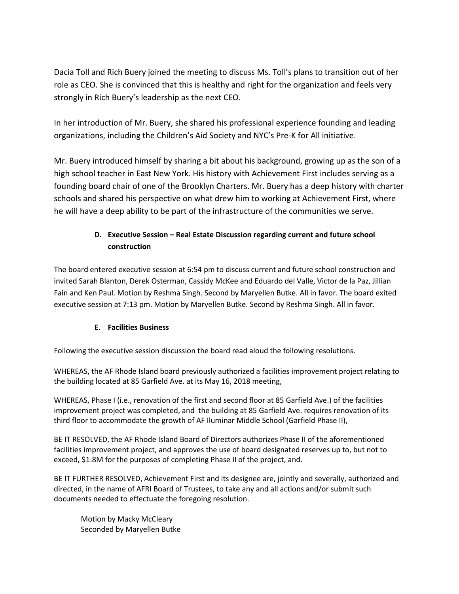Dacia Toll and Rich Buery joined the meeting to discuss Ms. Toll's plans to transition out of her role as CEO. She is convinced that this is healthy and right for the organization and feels very strongly in Rich Buery's leadership as the next CEO.

In her introduction of Mr. Buery, she shared his professional experience founding and leading organizations, including the Children's Aid Society and NYC's Pre-K for All initiative.

Mr. Buery introduced himself by sharing a bit about his background, growing up as the son of a high school teacher in East New York. His history with Achievement First includes serving as a founding board chair of one of the Brooklyn Charters. Mr. Buery has a deep history with charter schools and shared his perspective on what drew him to working at Achievement First, where he will have a deep ability to be part of the infrastructure of the communities we serve.

# **D. Executive Session – Real Estate Discussion regarding current and future school construction**

The board entered executive session at 6:54 pm to discuss current and future school construction and invited Sarah Blanton, Derek Osterman, Cassidy McKee and Eduardo del Valle, Victor de la Paz, Jillian Fain and Ken Paul. Motion by Reshma Singh. Second by Maryellen Butke. All in favor. The board exited executive session at 7:13 pm. Motion by Maryellen Butke. Second by Reshma Singh. All in favor.

# **E. Facilities Business**

Following the executive session discussion the board read aloud the following resolutions.

WHEREAS, the AF Rhode Island board previously authorized a facilities improvement project relating to the building located at 85 Garfield Ave. at its May 16, 2018 meeting,

WHEREAS, Phase I (i.e., renovation of the first and second floor at 85 Garfield Ave.) of the facilities improvement project was completed, and the building at 85 Garfield Ave. requires renovation of its third floor to accommodate the growth of AF Iluminar Middle School (Garfield Phase II),

BE IT RESOLVED, the AF Rhode Island Board of Directors authorizes Phase II of the aforementioned facilities improvement project, and approves the use of board designated reserves up to, but not to exceed, \$1.8M for the purposes of completing Phase II of the project, and.

BE IT FURTHER RESOLVED, Achievement First and its designee are, jointly and severally, authorized and directed, in the name of AFRI Board of Trustees, to take any and all actions and/or submit such documents needed to effectuate the foregoing resolution.

Motion by Macky McCleary Seconded by Maryellen Butke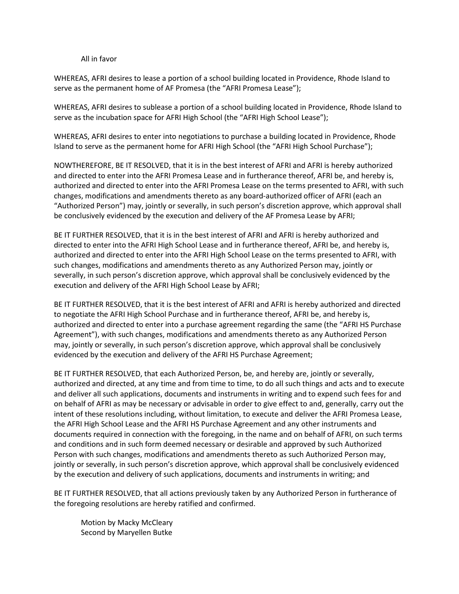#### All in favor

WHEREAS, AFRI desires to lease a portion of a school building located in Providence, Rhode Island to serve as the permanent home of AF Promesa (the "AFRI Promesa Lease");

WHEREAS, AFRI desires to sublease a portion of a school building located in Providence, Rhode Island to serve as the incubation space for AFRI High School (the "AFRI High School Lease");

WHEREAS, AFRI desires to enter into negotiations to purchase a building located in Providence, Rhode Island to serve as the permanent home for AFRI High School (the "AFRI High School Purchase");

NOWTHEREFORE, BE IT RESOLVED, that it is in the best interest of AFRI and AFRI is hereby authorized and directed to enter into the AFRI Promesa Lease and in furtherance thereof, AFRI be, and hereby is, authorized and directed to enter into the AFRI Promesa Lease on the terms presented to AFRI, with such changes, modifications and amendments thereto as any board-authorized officer of AFRI (each an "Authorized Person") may, jointly or severally, in such person's discretion approve, which approval shall be conclusively evidenced by the execution and delivery of the AF Promesa Lease by AFRI;

BE IT FURTHER RESOLVED, that it is in the best interest of AFRI and AFRI is hereby authorized and directed to enter into the AFRI High School Lease and in furtherance thereof, AFRI be, and hereby is, authorized and directed to enter into the AFRI High School Lease on the terms presented to AFRI, with such changes, modifications and amendments thereto as any Authorized Person may, jointly or severally, in such person's discretion approve, which approval shall be conclusively evidenced by the execution and delivery of the AFRI High School Lease by AFRI;

BE IT FURTHER RESOLVED, that it is the best interest of AFRI and AFRI is hereby authorized and directed to negotiate the AFRI High School Purchase and in furtherance thereof, AFRI be, and hereby is, authorized and directed to enter into a purchase agreement regarding the same (the "AFRI HS Purchase Agreement"), with such changes, modifications and amendments thereto as any Authorized Person may, jointly or severally, in such person's discretion approve, which approval shall be conclusively evidenced by the execution and delivery of the AFRI HS Purchase Agreement;

BE IT FURTHER RESOLVED, that each Authorized Person, be, and hereby are, jointly or severally, authorized and directed, at any time and from time to time, to do all such things and acts and to execute and deliver all such applications, documents and instruments in writing and to expend such fees for and on behalf of AFRI as may be necessary or advisable in order to give effect to and, generally, carry out the intent of these resolutions including, without limitation, to execute and deliver the AFRI Promesa Lease, the AFRI High School Lease and the AFRI HS Purchase Agreement and any other instruments and documents required in connection with the foregoing, in the name and on behalf of AFRI, on such terms and conditions and in such form deemed necessary or desirable and approved by such Authorized Person with such changes, modifications and amendments thereto as such Authorized Person may, jointly or severally, in such person's discretion approve, which approval shall be conclusively evidenced by the execution and delivery of such applications, documents and instruments in writing; and

BE IT FURTHER RESOLVED, that all actions previously taken by any Authorized Person in furtherance of the foregoing resolutions are hereby ratified and confirmed.

Motion by Macky McCleary Second by Maryellen Butke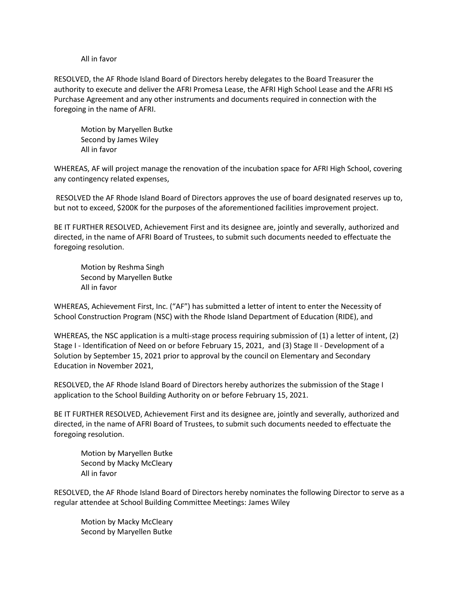#### All in favor

RESOLVED, the AF Rhode Island Board of Directors hereby delegates to the Board Treasurer the authority to execute and deliver the AFRI Promesa Lease, the AFRI High School Lease and the AFRI HS Purchase Agreement and any other instruments and documents required in connection with the foregoing in the name of AFRI.

Motion by Maryellen Butke Second by James Wiley All in favor

WHEREAS, AF will project manage the renovation of the incubation space for AFRI High School, covering any contingency related expenses,

RESOLVED the AF Rhode Island Board of Directors approves the use of board designated reserves up to, but not to exceed, \$200K for the purposes of the aforementioned facilities improvement project.

BE IT FURTHER RESOLVED, Achievement First and its designee are, jointly and severally, authorized and directed, in the name of AFRI Board of Trustees, to submit such documents needed to effectuate the foregoing resolution.

Motion by Reshma Singh Second by Maryellen Butke All in favor

WHEREAS, Achievement First, Inc. ("AF") has submitted a letter of intent to enter the Necessity of School Construction Program (NSC) with the Rhode Island Department of Education (RIDE), and

WHEREAS, the NSC application is a multi-stage process requiring submission of (1) a letter of intent, (2) Stage I - Identification of Need on or before February 15, 2021, and (3) Stage II - Development of a Solution by September 15, 2021 prior to approval by the council on Elementary and Secondary Education in November 2021,

RESOLVED, the AF Rhode Island Board of Directors hereby authorizes the submission of the Stage I application to the School Building Authority on or before February 15, 2021.

BE IT FURTHER RESOLVED, Achievement First and its designee are, jointly and severally, authorized and directed, in the name of AFRI Board of Trustees, to submit such documents needed to effectuate the foregoing resolution.

Motion by Maryellen Butke Second by Macky McCleary All in favor

RESOLVED, the AF Rhode Island Board of Directors hereby nominates the following Director to serve as a regular attendee at School Building Committee Meetings: James Wiley

Motion by Macky McCleary Second by Maryellen Butke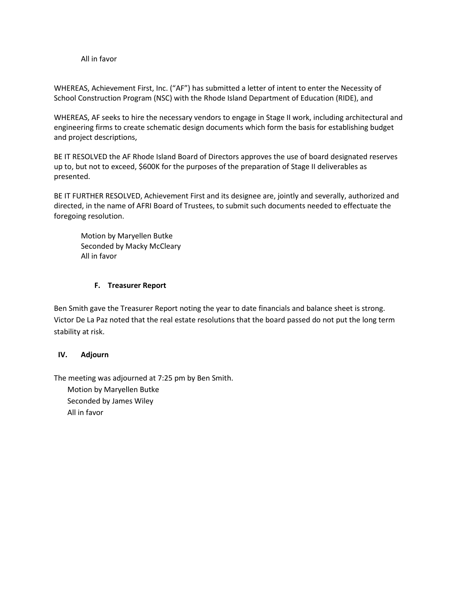#### All in favor

WHEREAS, Achievement First, Inc. ("AF") has submitted a letter of intent to enter the Necessity of School Construction Program (NSC) with the Rhode Island Department of Education (RIDE), and

WHEREAS, AF seeks to hire the necessary vendors to engage in Stage II work, including architectural and engineering firms to create schematic design documents which form the basis for establishing budget and project descriptions,

BE IT RESOLVED the AF Rhode Island Board of Directors approves the use of board designated reserves up to, but not to exceed, \$600K for the purposes of the preparation of Stage II deliverables as presented.

BE IT FURTHER RESOLVED, Achievement First and its designee are, jointly and severally, authorized and directed, in the name of AFRI Board of Trustees, to submit such documents needed to effectuate the foregoing resolution.

Motion by Maryellen Butke Seconded by Macky McCleary All in favor

## **F. Treasurer Report**

Ben Smith gave the Treasurer Report noting the year to date financials and balance sheet is strong. Victor De La Paz noted that the real estate resolutions that the board passed do not put the long term stability at risk.

## **IV. Adjourn**

The meeting was adjourned at 7:25 pm by Ben Smith.

Motion by Maryellen Butke Seconded by James Wiley All in favor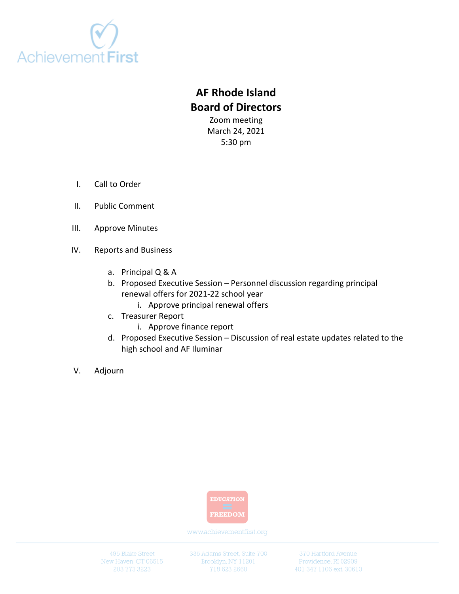

# **AF Rhode Island Board of Directors**

Zoom meeting March 24, 2021 5:30 pm

- I. Call to Order
- II. Public Comment
- III. Approve Minutes
- IV. Reports and Business
	- a. Principal Q & A
	- b. Proposed Executive Session Personnel discussion regarding principal renewal offers for 2021-22 school year
		- i. Approve principal renewal offers
	- c. Treasurer Report
		- i. Approve finance report
	- d. Proposed Executive Session Discussion of real estate updates related to the high school and AF Iluminar
- V. Adjourn



www.achievementfirst.org

495 Blake Street New Haven, CT 06515 335 Adams Street, Suite 700 Brooklyn, NY 11201

370 Hartford Avenue Providence, RI 02909 401 347 1106 ext. 30610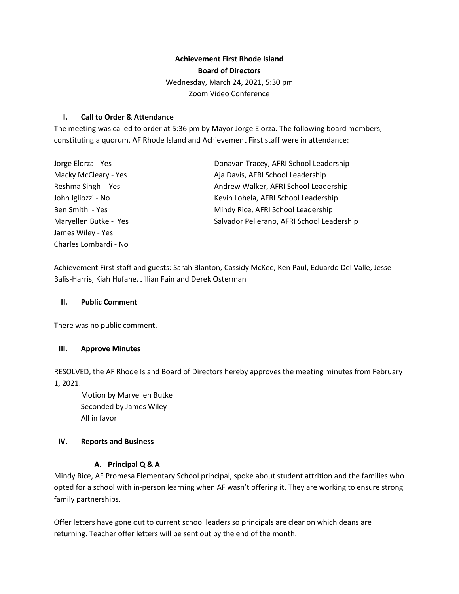# **Achievement First Rhode Island Board of Directors**  Wednesday, March 24, 2021, 5:30 pm Zoom Video Conference

## **I. Call to Order & Attendance**

The meeting was called to order at 5:36 pm by Mayor Jorge Elorza. The following board members, constituting a quorum, AF Rhode Island and Achievement First staff were in attendance:

| Donavan Tracey, AFRI School Leadership     |
|--------------------------------------------|
| Aja Davis, AFRI School Leadership          |
| Andrew Walker, AFRI School Leadership      |
| Kevin Lohela, AFRI School Leadership       |
| Mindy Rice, AFRI School Leadership         |
| Salvador Pellerano, AFRI School Leadership |
|                                            |
|                                            |
|                                            |

Achievement First staff and guests: Sarah Blanton, Cassidy McKee, Ken Paul, Eduardo Del Valle, Jesse Balis-Harris, Kiah Hufane. Jillian Fain and Derek Osterman

## **II. Public Comment**

There was no public comment.

## **III. Approve Minutes**

RESOLVED, the AF Rhode Island Board of Directors hereby approves the meeting minutes from February 1, 2021.

Motion by Maryellen Butke Seconded by James Wiley All in favor

## **IV. Reports and Business**

## **A. Principal Q & A**

Mindy Rice, AF Promesa Elementary School principal, spoke about student attrition and the families who opted for a school with in-person learning when AF wasn't offering it. They are working to ensure strong family partnerships.

Offer letters have gone out to current school leaders so principals are clear on which deans are returning. Teacher offer letters will be sent out by the end of the month.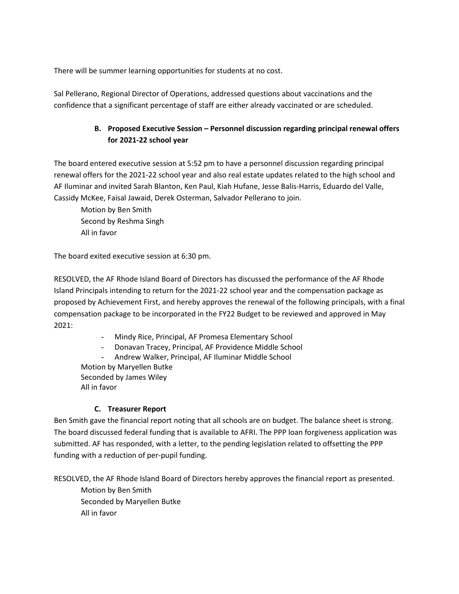There will be summer learning opportunities for students at no cost.

Sal Pellerano, Regional Director of Operations, addressed questions about vaccinations and the confidence that a significant percentage of staff are either already vaccinated or are scheduled.

# **B. Proposed Executive Session – Personnel discussion regarding principal renewal offers for 2021-22 school year**

The board entered executive session at 5:52 pm to have a personnel discussion regarding principal renewal offers for the 2021-22 school year and also real estate updates related to the high school and AF Iluminar and invited Sarah Blanton, Ken Paul, Kiah Hufane, Jesse Balis-Harris, Eduardo del Valle, Cassidy McKee, Faisal Jawaid, Derek Osterman, Salvador Pellerano to join.

Motion by Ben Smith Second by Reshma Singh All in favor

The board exited executive session at 6:30 pm.

RESOLVED, the AF Rhode Island Board of Directors has discussed the performance of the AF Rhode Island Principals intending to return for the 2021-22 school year and the compensation package as proposed by Achievement First, and hereby approves the renewal of the following principals, with a final compensation package to be incorporated in the FY22 Budget to be reviewed and approved in May 2021:

- Mindy Rice, Principal, AF Promesa Elementary School
- Donavan Tracey, Principal, AF Providence Middle School

- Andrew Walker, Principal, AF Iluminar Middle School

Motion by Maryellen Butke Seconded by James Wiley All in favor

# **C. Treasurer Report**

Ben Smith gave the financial report noting that all schools are on budget. The balance sheet is strong. The board discussed federal funding that is available to AFRI. The PPP loan forgiveness application was submitted. AF has responded, with a letter, to the pending legislation related to offsetting the PPP funding with a reduction of per-pupil funding.

RESOLVED, the AF Rhode Island Board of Directors hereby approves the financial report as presented.

Motion by Ben Smith Seconded by Maryellen Butke All in favor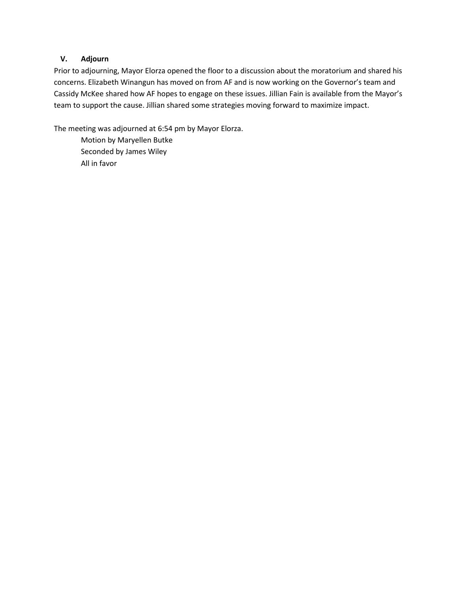# **V. Adjourn**

Prior to adjourning, Mayor Elorza opened the floor to a discussion about the moratorium and shared his concerns. Elizabeth Winangun has moved on from AF and is now working on the Governor's team and Cassidy McKee shared how AF hopes to engage on these issues. Jillian Fain is available from the Mayor's team to support the cause. Jillian shared some strategies moving forward to maximize impact.

The meeting was adjourned at 6:54 pm by Mayor Elorza.

Motion by Maryellen Butke Seconded by James Wiley All in favor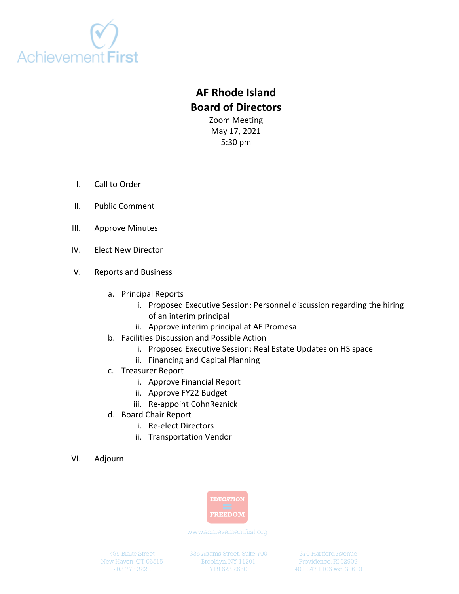

# **AF Rhode Island Board of Directors**

Zoom Meeting May 17, 2021 5:30 pm

- I. Call to Order
- II. Public Comment
- III. Approve Minutes
- IV. Elect New Director
- V. Reports and Business
	- a. Principal Reports
		- i. Proposed Executive Session: Personnel discussion regarding the hiring of an interim principal
		- ii. Approve interim principal at AF Promesa
	- b. Facilities Discussion and Possible Action
		- i. Proposed Executive Session: Real Estate Updates on HS space
		- ii. Financing and Capital Planning
	- c. Treasurer Report
		- i. Approve Financial Report
		- ii. Approve FY22 Budget
		- iii. Re-appoint CohnReznick
	- d. Board Chair Report
		- i. Re-elect Directors
		- ii. Transportation Vendor
- VI. Adjourn



www.achievementfirst.org

495 Blake Street New Haven, CT 06515 335 Adams Street, Suite 700 Brooklyn, NY 11201

370 Hartford Avenue Providence, RI 02909 401 347 1106 ext. 30610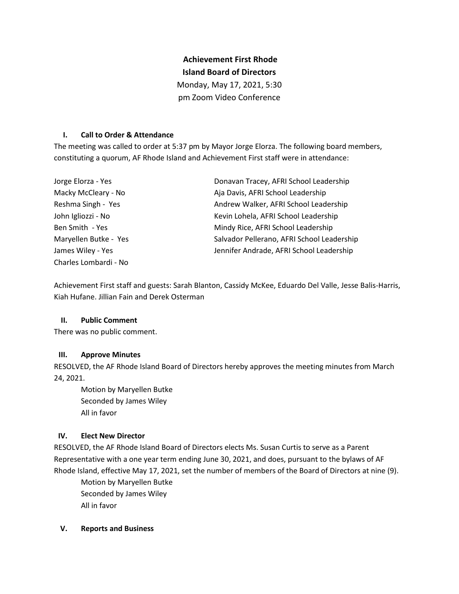# **Achievement First Rhode Island Board of Directors**

Monday, May 17, 2021, 5:30

pm Zoom Video Conference

## **I. Call to Order & Attendance**

The meeting was called to order at 5:37 pm by Mayor Jorge Elorza. The following board members, constituting a quorum, AF Rhode Island and Achievement First staff were in attendance:

| Jorge Elorza - Yes    | Donavan Tracey, AFRI School Leadership     |
|-----------------------|--------------------------------------------|
| Macky McCleary - No   | Aja Davis, AFRI School Leadership          |
| Reshma Singh - Yes    | Andrew Walker, AFRI School Leadership      |
| John Igliozzi - No    | Kevin Lohela, AFRI School Leadership       |
| Ben Smith - Yes       | Mindy Rice, AFRI School Leadership         |
| Maryellen Butke - Yes | Salvador Pellerano, AFRI School Leadership |
| James Wiley - Yes     | Jennifer Andrade, AFRI School Leadership   |
| Charles Lombardi - No |                                            |

Achievement First staff and guests: Sarah Blanton, Cassidy McKee, Eduardo Del Valle, Jesse Balis-Harris, Kiah Hufane. Jillian Fain and Derek Osterman

# **II. Public Comment**

There was no public comment.

# **III. Approve Minutes**

RESOLVED, the AF Rhode Island Board of Directors hereby approves the meeting minutes from March 24, 2021.

Motion by Maryellen Butke Seconded by James Wiley All in favor

## **IV. Elect New Director**

RESOLVED, the AF Rhode Island Board of Directors elects Ms. Susan Curtis to serve as a Parent Representative with a one year term ending June 30, 2021, and does, pursuant to the bylaws of AF Rhode Island, effective May 17, 2021, set the number of members of the Board of Directors at nine (9).

Motion by Maryellen Butke Seconded by James Wiley All in favor

## **V. Reports and Business**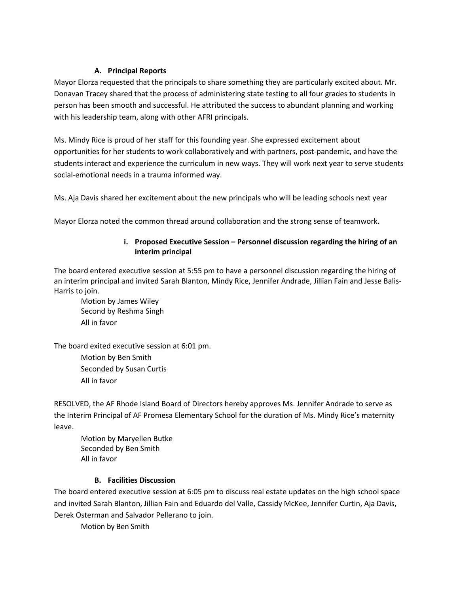## **A. Principal Reports**

Mayor Elorza requested that the principals to share something they are particularly excited about. Mr. Donavan Tracey shared that the process of administering state testing to all four grades to students in person has been smooth and successful. He attributed the success to abundant planning and working with his leadership team, along with other AFRI principals.

Ms. Mindy Rice is proud of her staff for this founding year. She expressed excitement about opportunities for her students to work collaboratively and with partners, post-pandemic, and have the students interact and experience the curriculum in new ways. They will work next year to serve students social-emotional needs in a trauma informed way.

Ms. Aja Davis shared her excitement about the new principals who will be leading schools next year

Mayor Elorza noted the common thread around collaboration and the strong sense of teamwork.

## **i. Proposed Executive Session – Personnel discussion regarding the hiring of an interim principal**

The board entered executive session at 5:55 pm to have a personnel discussion regarding the hiring of an interim principal and invited Sarah Blanton, Mindy Rice, Jennifer Andrade, Jillian Fain and Jesse Balis-Harris to join.

Motion by James Wiley Second by Reshma Singh All in favor

The board exited executive session at 6:01 pm.

Motion by Ben Smith Seconded by Susan Curtis All in favor

RESOLVED, the AF Rhode Island Board of Directors hereby approves Ms. Jennifer Andrade to serve as the Interim Principal of AF Promesa Elementary School for the duration of Ms. Mindy Rice's maternity leave.

Motion by Maryellen Butke Seconded by Ben Smith All in favor

# **B. Facilities Discussion**

The board entered executive session at 6:05 pm to discuss real estate updates on the high school space and invited Sarah Blanton, Jillian Fain and Eduardo del Valle, Cassidy McKee, Jennifer Curtin, Aja Davis, Derek Osterman and Salvador Pellerano to join.

Motion by Ben Smith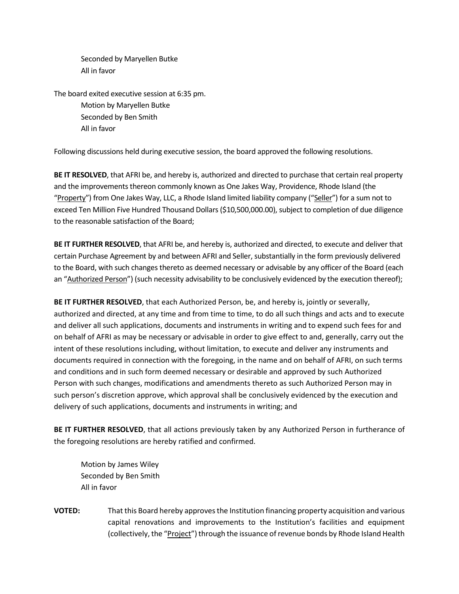Seconded by Maryellen Butke All in favor

The board exited executive session at 6:35 pm. Motion by Maryellen Butke Seconded by Ben Smith All in favor

Following discussions held during executive session, the board approved the following resolutions.

**BE IT RESOLVED**, that AFRI be, and hereby is, authorized and directed to purchase that certain real property and the improvements thereon commonly known as One Jakes Way, Providence, Rhode Island (the "Property") from One Jakes Way, LLC, a Rhode Island limited liability company ("Seller") for a sum not to exceed Ten Million Five Hundred Thousand Dollars (\$10,500,000.00), subject to completion of due diligence to the reasonable satisfaction of the Board;

**BE IT FURTHER RESOLVED**, that AFRI be, and hereby is, authorized and directed, to execute and deliver that certain Purchase Agreement by and between AFRI and Seller, substantially in the form previously delivered to the Board, with such changes thereto as deemed necessary or advisable by any officer of the Board (each an "Authorized Person") (such necessity advisability to be conclusively evidenced by the execution thereof);

**BE IT FURTHER RESOLVED**, that each Authorized Person, be, and hereby is, jointly or severally, authorized and directed, at any time and from time to time, to do all such things and acts and to execute and deliver all such applications, documents and instruments in writing and to expend such fees for and on behalf of AFRI as may be necessary or advisable in order to give effect to and, generally, carry out the intent of these resolutions including, without limitation, to execute and deliver any instruments and documents required in connection with the foregoing, in the name and on behalf of AFRI, on such terms and conditions and in such form deemed necessary or desirable and approved by such Authorized Person with such changes, modifications and amendments thereto as such Authorized Person may in such person's discretion approve, which approval shall be conclusively evidenced by the execution and delivery of such applications, documents and instruments in writing; and

**BE IT FURTHER RESOLVED**, that all actions previously taken by any Authorized Person in furtherance of the foregoing resolutions are hereby ratified and confirmed.

Motion by James Wiley Seconded by Ben Smith All in favor

**VOTED:** That this Board hereby approves the Institution financing property acquisition and various capital renovations and improvements to the Institution's facilities and equipment (collectively, the "Project") through the issuance of revenue bonds by Rhode Island Health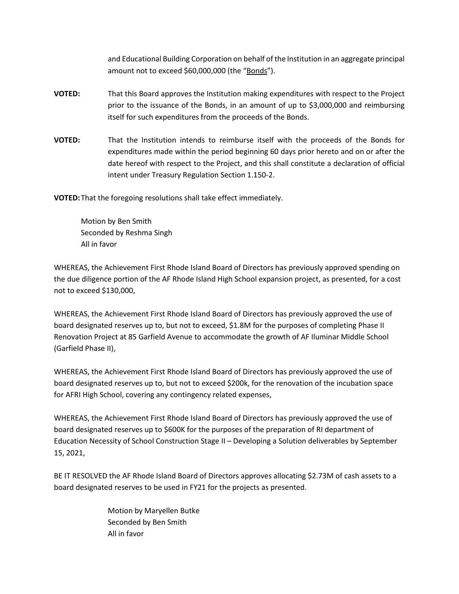and Educational Building Corporation on behalf of the Institution in an aggregate principal amount not to exceed \$60,000,000 (the "Bonds").

- **VOTED:** That this Board approves the Institution making expenditures with respect to the Project prior to the issuance of the Bonds, in an amount of up to \$3,000,000 and reimbursing itself for such expenditures from the proceeds of the Bonds.
- **VOTED:** That the Institution intends to reimburse itself with the proceeds of the Bonds for expenditures made within the period beginning 60 days prior hereto and on or after the date hereof with respect to the Project, and this shall constitute a declaration of official intent under Treasury Regulation Section 1.150-2.

**VOTED:**That the foregoing resolutions shall take effect immediately.

Motion by Ben Smith Seconded by Reshma Singh All in favor

WHEREAS, the Achievement First Rhode Island Board of Directors has previously approved spending on the due diligence portion of the AF Rhode Island High School expansion project, as presented, for a cost not to exceed \$130,000,

WHEREAS, the Achievement First Rhode Island Board of Directors has previously approved the use of board designated reserves up to, but not to exceed, \$1.8M for the purposes of completing Phase II Renovation Project at 85 Garfield Avenue to accommodate the growth of AF Iluminar Middle School (Garfield Phase II),

WHEREAS, the Achievement First Rhode Island Board of Directors has previously approved the use of board designated reserves up to, but not to exceed \$200k, for the renovation of the incubation space for AFRI High School, covering any contingency related expenses,

WHEREAS, the Achievement First Rhode Island Board of Directors has previously approved the use of board designated reserves up to \$600K for the purposes of the preparation of RI department of Education Necessity of School Construction Stage II – Developing a Solution deliverables by September 15, 2021,

BE IT RESOLVED the AF Rhode Island Board of Directors approves allocating \$2.73M of cash assets to a board designated reserves to be used in FY21 for the projects as presented.

> Motion by Maryellen Butke Seconded by Ben Smith All in favor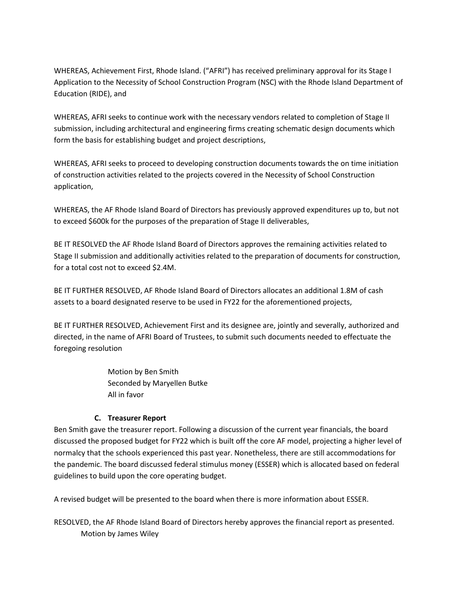WHEREAS, Achievement First, Rhode Island. ("AFRI") has received preliminary approval for its Stage I Application to the Necessity of School Construction Program (NSC) with the Rhode Island Department of Education (RIDE), and

WHEREAS, AFRI seeks to continue work with the necessary vendors related to completion of Stage II submission, including architectural and engineering firms creating schematic design documents which form the basis for establishing budget and project descriptions,

WHEREAS, AFRI seeks to proceed to developing construction documents towards the on time initiation of construction activities related to the projects covered in the Necessity of School Construction application,

WHEREAS, the AF Rhode Island Board of Directors has previously approved expenditures up to, but not to exceed \$600k for the purposes of the preparation of Stage II deliverables,

BE IT RESOLVED the AF Rhode Island Board of Directors approves the remaining activities related to Stage II submission and additionally activities related to the preparation of documents for construction, for a total cost not to exceed \$2.4M.

BE IT FURTHER RESOLVED, AF Rhode Island Board of Directors allocates an additional 1.8M of cash assets to a board designated reserve to be used in FY22 for the aforementioned projects,

BE IT FURTHER RESOLVED, Achievement First and its designee are, jointly and severally, authorized and directed, in the name of AFRI Board of Trustees, to submit such documents needed to effectuate the foregoing resolution

> Motion by Ben Smith Seconded by Maryellen Butke All in favor

# **C. Treasurer Report**

Ben Smith gave the treasurer report. Following a discussion of the current year financials, the board discussed the proposed budget for FY22 which is built off the core AF model, projecting a higher level of normalcy that the schools experienced this past year. Nonetheless, there are still accommodations for the pandemic. The board discussed federal stimulus money (ESSER) which is allocated based on federal guidelines to build upon the core operating budget.

A revised budget will be presented to the board when there is more information about ESSER.

RESOLVED, the AF Rhode Island Board of Directors hereby approves the financial report as presented. Motion by James Wiley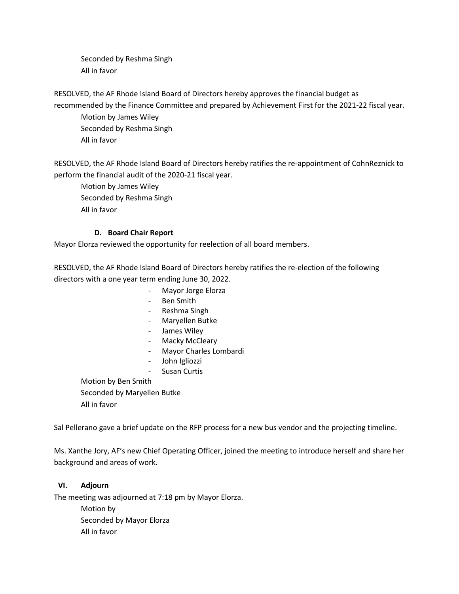Seconded by Reshma Singh All in favor

RESOLVED, the AF Rhode Island Board of Directors hereby approves the financial budget as recommended by the Finance Committee and prepared by Achievement First for the 2021-22 fiscal year.

Motion by James Wiley Seconded by Reshma Singh All in favor

RESOLVED, the AF Rhode Island Board of Directors hereby ratifies the re-appointment of CohnReznick to perform the financial audit of the 2020-21 fiscal year.

Motion by James Wiley Seconded by Reshma Singh All in favor

# **D. Board Chair Report**

Mayor Elorza reviewed the opportunity for reelection of all board members.

RESOLVED, the AF Rhode Island Board of Directors hereby ratifies the re-election of the following directors with a one year term ending June 30, 2022.

- Mayor Jorge Elorza
- Ben Smith
- Reshma Singh
- Maryellen Butke
- James Wiley
- Macky McCleary
- Mayor Charles Lombardi
- John Igliozzi
- Susan Curtis

Motion by Ben Smith Seconded by Maryellen Butke All in favor

Sal Pellerano gave a brief update on the RFP process for a new bus vendor and the projecting timeline.

Ms. Xanthe Jory, AF's new Chief Operating Officer, joined the meeting to introduce herself and share her background and areas of work.

# **VI. Adjourn**

The meeting was adjourned at 7:18 pm by Mayor Elorza.

Motion by Seconded by Mayor Elorza All in favor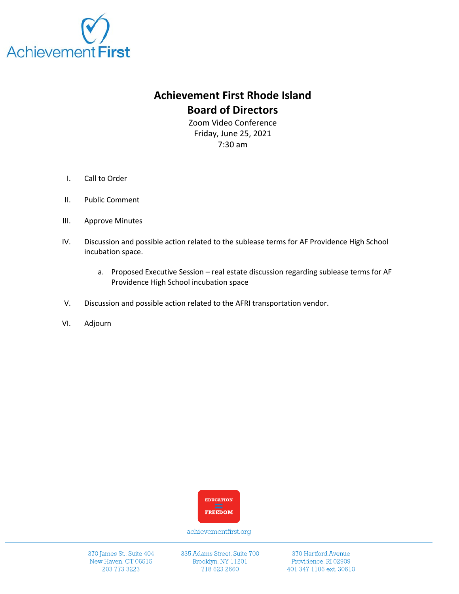

# **Achievement First Rhode Island Board of Directors**

Zoom Video Conference Friday, June 25, 2021 7:30 am

- I. Call to Order
- II. Public Comment
- III. Approve Minutes
- IV. Discussion and possible action related to the sublease terms for AF Providence High School incubation space.
	- a. Proposed Executive Session real estate discussion regarding sublease terms for AF Providence High School incubation space
- V. Discussion and possible action related to the AFRI transportation vendor.
- VI. Adjourn



achievementfirst.org

370 James St., Suite 404 New Haven, CT 06515 203 773 3223

335 Adams Street, Suite 700 Brooklyn, NY 11201 718 623 2660

370 Hartford Avenue Providence, RI 02909 401 347 1106 ext. 30610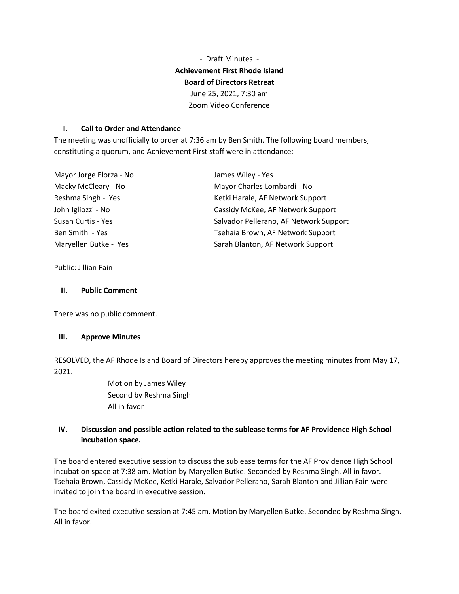- Draft Minutes - **Achievement First Rhode Island Board of Directors Retreat** June 25, 2021, 7:30 am Zoom Video Conference

## **I. Call to Order and Attendance**

The meeting was unofficially to order at 7:36 am by Ben Smith. The following board members, constituting a quorum, and Achievement First staff were in attendance:

| Mayor Jorge Elorza - No | James Wiley - Yes                      |
|-------------------------|----------------------------------------|
| Macky McCleary - No     | Mayor Charles Lombardi - No            |
| Reshma Singh - Yes      | Ketki Harale, AF Network Support       |
| John Igliozzi - No      | Cassidy McKee, AF Network Support      |
| Susan Curtis - Yes      | Salvador Pellerano, AF Network Support |
| Ben Smith - Yes         | Tsehaia Brown, AF Network Support      |
| Maryellen Butke - Yes   | Sarah Blanton, AF Network Support      |

Public: Jillian Fain

#### **II. Public Comment**

There was no public comment.

#### **III. Approve Minutes**

RESOLVED, the AF Rhode Island Board of Directors hereby approves the meeting minutes from May 17, 2021.

> Motion by James Wiley Second by Reshma Singh All in favor

# **IV. Discussion and possible action related to the sublease terms for AF Providence High School incubation space.**

The board entered executive session to discuss the sublease terms for the AF Providence High School incubation space at 7:38 am. Motion by Maryellen Butke. Seconded by Reshma Singh. All in favor. Tsehaia Brown, Cassidy McKee, Ketki Harale, Salvador Pellerano, Sarah Blanton and Jillian Fain were invited to join the board in executive session.

The board exited executive session at 7:45 am. Motion by Maryellen Butke. Seconded by Reshma Singh. All in favor.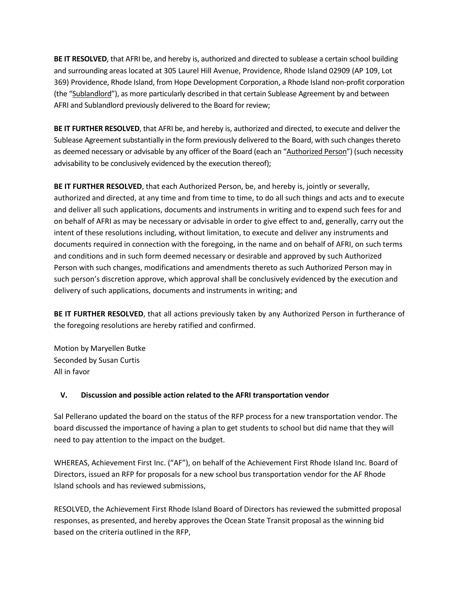**BE IT RESOLVED**, that AFRI be, and hereby is, authorized and directed to sublease a certain school building and surrounding areas located at 305 Laurel Hill Avenue, Providence, Rhode Island 02909 (AP 109, Lot 369) Providence, Rhode Island, from Hope Development Corporation, a Rhode Island non-profit corporation (the "Sublandlord"), as more particularly described in that certain Sublease Agreement by and between AFRI and Sublandlord previously delivered to the Board for review;

**BE IT FURTHER RESOLVED**, that AFRI be, and hereby is, authorized and directed, to execute and deliver the Sublease Agreement substantially in the form previously delivered to the Board, with such changes thereto as deemed necessary or advisable by any officer of the Board (each an "Authorized Person") (such necessity advisability to be conclusively evidenced by the execution thereof);

**BE IT FURTHER RESOLVED**, that each Authorized Person, be, and hereby is, jointly or severally, authorized and directed, at any time and from time to time, to do all such things and acts and to execute and deliver all such applications, documents and instruments in writing and to expend such fees for and on behalf of AFRI as may be necessary or advisable in order to give effect to and, generally, carry out the intent of these resolutions including, without limitation, to execute and deliver any instruments and documents required in connection with the foregoing, in the name and on behalf of AFRI, on such terms and conditions and in such form deemed necessary or desirable and approved by such Authorized Person with such changes, modifications and amendments thereto as such Authorized Person may in such person's discretion approve, which approval shall be conclusively evidenced by the execution and delivery of such applications, documents and instruments in writing; and

**BE IT FURTHER RESOLVED**, that all actions previously taken by any Authorized Person in furtherance of the foregoing resolutions are hereby ratified and confirmed.

Motion by Maryellen Butke Seconded by Susan Curtis All in favor

# **V. Discussion and possible action related to the AFRI transportation vendor**

Sal Pellerano updated the board on the status of the RFP process for a new transportation vendor. The board discussed the importance of having a plan to get students to school but did name that they will need to pay attention to the impact on the budget.

WHEREAS, Achievement First Inc. ("AF"), on behalf of the Achievement First Rhode Island Inc. Board of Directors, issued an RFP for proposals for a new school bus transportation vendor for the AF Rhode Island schools and has reviewed submissions,

RESOLVED, the Achievement First Rhode Island Board of Directors has reviewed the submitted proposal responses, as presented, and hereby approves the Ocean State Transit proposal as the winning bid based on the criteria outlined in the RFP,